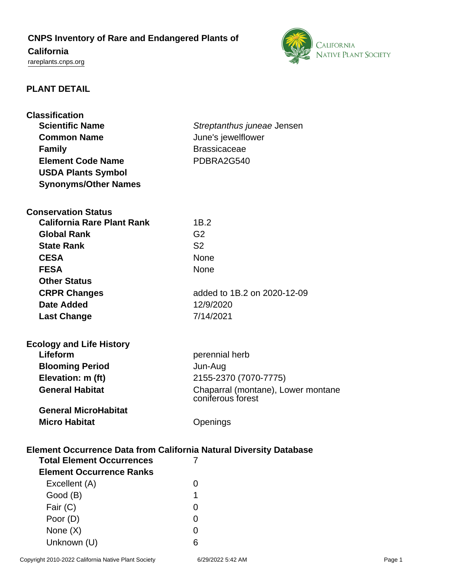# **CNPS Inventory of Rare and Endangered Plants of**

# **California**

<rareplants.cnps.org>



# **PLANT DETAIL**

| <b>Classification</b><br><b>Scientific Name</b><br><b>Common Name</b><br><b>Family</b><br><b>Element Code Name</b> | Streptanthus juneae Jensen<br>June's jewelflower<br><b>Brassicaceae</b><br>PDBRA2G540 |  |  |
|--------------------------------------------------------------------------------------------------------------------|---------------------------------------------------------------------------------------|--|--|
| <b>USDA Plants Symbol</b><br><b>Synonyms/Other Names</b>                                                           |                                                                                       |  |  |
|                                                                                                                    |                                                                                       |  |  |
| <b>Conservation Status</b>                                                                                         |                                                                                       |  |  |
| <b>California Rare Plant Rank</b>                                                                                  | 1B.2                                                                                  |  |  |
| <b>Global Rank</b>                                                                                                 | G <sub>2</sub>                                                                        |  |  |
| <b>State Rank</b>                                                                                                  | S <sub>2</sub>                                                                        |  |  |
| <b>CESA</b>                                                                                                        | <b>None</b>                                                                           |  |  |
| <b>FESA</b>                                                                                                        | <b>None</b>                                                                           |  |  |
| <b>Other Status</b>                                                                                                |                                                                                       |  |  |
| <b>CRPR Changes</b>                                                                                                | added to 1B.2 on 2020-12-09                                                           |  |  |
| <b>Date Added</b>                                                                                                  | 12/9/2020                                                                             |  |  |
| <b>Last Change</b>                                                                                                 | 7/14/2021                                                                             |  |  |
| <b>Ecology and Life History</b>                                                                                    |                                                                                       |  |  |
| Lifeform                                                                                                           | perennial herb                                                                        |  |  |
| <b>Blooming Period</b>                                                                                             | Jun-Aug                                                                               |  |  |
| Elevation: m (ft)                                                                                                  | 2155-2370 (7070-7775)                                                                 |  |  |
| <b>General Habitat</b>                                                                                             | Chaparral (montane), Lower montane<br>coniferous forest                               |  |  |
| <b>General MicroHabitat</b>                                                                                        |                                                                                       |  |  |
| <b>Micro Habitat</b>                                                                                               | Openings                                                                              |  |  |
| <b>Element Occurrence Data from California Natural Diversity Database</b>                                          |                                                                                       |  |  |
| <b>Total Element Occurrences</b>                                                                                   | 7                                                                                     |  |  |
| <b>Element Occurrence Ranks</b>                                                                                    |                                                                                       |  |  |
| Excellent (A)                                                                                                      | 0                                                                                     |  |  |
| Good (B)                                                                                                           | 1                                                                                     |  |  |
| Fair (C)                                                                                                           | 0                                                                                     |  |  |
| Poor (D)                                                                                                           | 0                                                                                     |  |  |
| None $(X)$                                                                                                         | 0                                                                                     |  |  |
| Unknown (U)                                                                                                        | 6                                                                                     |  |  |